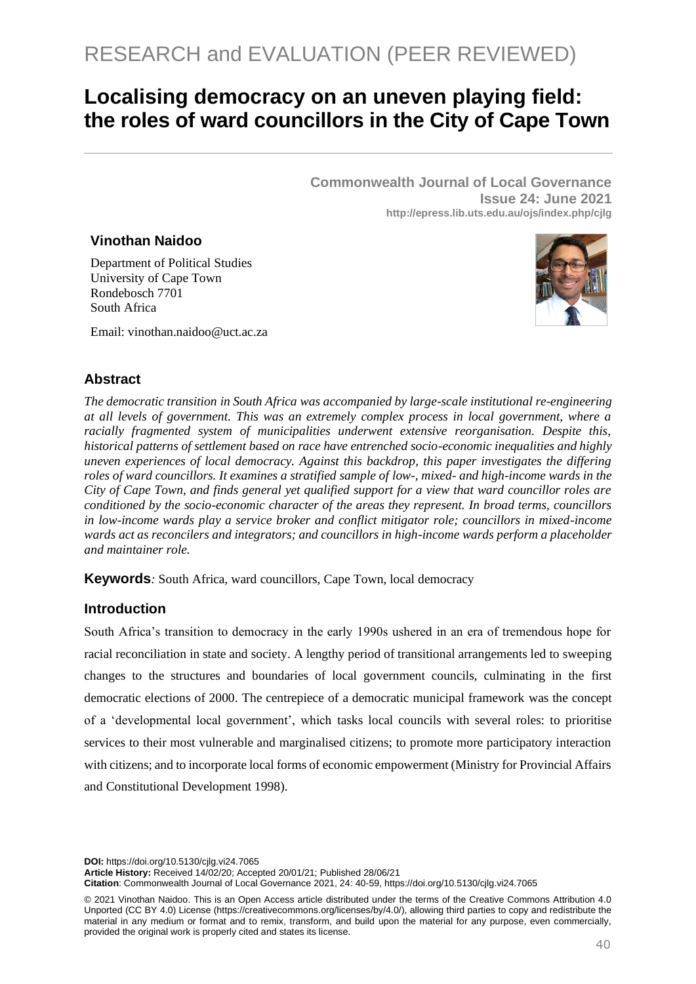# **Localising democracy on an uneven playing field: the roles of ward councillors in the City of Cape Town**

**Commonwealth Journal of Local Governance Issue 24: June 2021 http://epress.lib.uts.edu.au/ojs/index.php/cjlg**

# **Vinothan Naidoo**

Department of Political Studies University of Cape Town Rondebosch 7701 South Africa

Email: vinothan.naidoo@uct.ac.za



# **Abstract**

*The democratic transition in South Africa was accompanied by large-scale institutional re-engineering at all levels of government. This was an extremely complex process in local government, where a racially fragmented system of municipalities underwent extensive reorganisation. Despite this, historical patterns of settlement based on race have entrenched socio-economic inequalities and highly uneven experiences of local democracy. Against this backdrop, this paper investigates the differing roles of ward councillors. It examines a stratified sample of low-, mixed- and high-income wards in the City of Cape Town, and finds general yet qualified support for a view that ward councillor roles are conditioned by the socio-economic character of the areas they represent. In broad terms, councillors in low-income wards play a service broker and conflict mitigator role; councillors in mixed-income wards act as reconcilers and integrators; and councillors in high-income wards perform a placeholder and maintainer role.*

**Keywords**: South Africa, ward councillors, Cape Town, local democracy

# **Introduction**

South Africa's transition to democracy in the early 1990s ushered in an era of tremendous hope for racial reconciliation in state and society. A lengthy period of transitional arrangements led to sweeping changes to the structures and boundaries of local government councils, culminating in the first democratic elections of 2000. The centrepiece of a democratic municipal framework was the concept of a 'developmental local government', which tasks local councils with several roles: to prioritise services to their most vulnerable and marginalised citizens; to promote more participatory interaction with citizens; and to incorporate local forms of economic empowerment (Ministry for Provincial Affairs and Constitutional Development 1998).

**DOI:** https://doi.org/10.5130/cjlg.vi24.7065

**Article History:** Received 14/02/20; Accepted 20/01/21; Published 28/06/21

**Citation**: Commonwealth Journal of Local Governance 2021, 24: 40-59, https://doi.org/10.5130/cjlg.vi24.7065

<sup>© 2021</sup> Vinothan Naidoo. This is an Open Access article distributed under the terms of the Creative Commons Attribution 4.0 Unported (CC BY 4.0) License [\(https://creativecommons.org/licenses/by/4.0/\)](https://creativecommons.org/licenses/by/4.0/), allowing third parties to copy and redistribute the material in any medium or format and to remix, transform, and build upon the material for any purpose, even commercially, provided the original work is properly cited and states its license.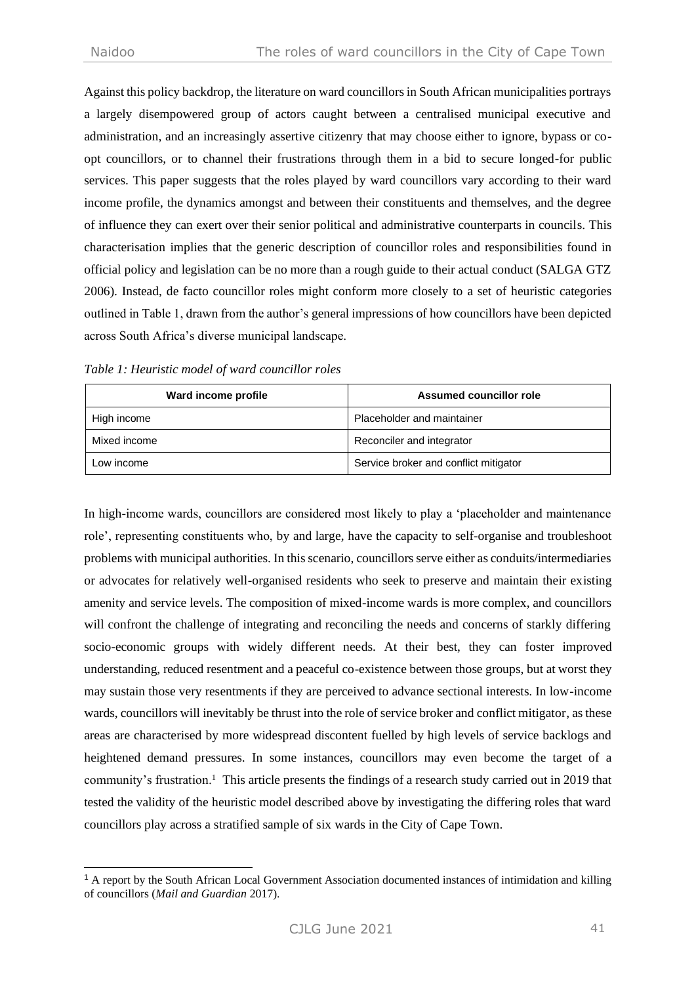Against this policy backdrop, the literature on ward councillors in South African municipalities portrays a largely disempowered group of actors caught between a centralised municipal executive and administration, and an increasingly assertive citizenry that may choose either to ignore, bypass or coopt councillors, or to channel their frustrations through them in a bid to secure longed-for public services. This paper suggests that the roles played by ward councillors vary according to their ward income profile, the dynamics amongst and between their constituents and themselves, and the degree of influence they can exert over their senior political and administrative counterparts in councils. This characterisation implies that the generic description of councillor roles and responsibilities found in official policy and legislation can be no more than a rough guide to their actual conduct (SALGA GTZ 2006). Instead, de facto councillor roles might conform more closely to a set of heuristic categories outlined in Table 1, drawn from the author's general impressions of how councillors have been depicted across South Africa's diverse municipal landscape.

| Ward income profile | Assumed councillor role               |  |  |
|---------------------|---------------------------------------|--|--|
| High income         | Placeholder and maintainer            |  |  |
| Mixed income        | Reconciler and integrator             |  |  |
| Low income          | Service broker and conflict mitigator |  |  |

*Table 1: Heuristic model of ward councillor roles*

In high-income wards, councillors are considered most likely to play a 'placeholder and maintenance role', representing constituents who, by and large, have the capacity to self-organise and troubleshoot problems with municipal authorities. In this scenario, councillors serve either as conduits/intermediaries or advocates for relatively well-organised residents who seek to preserve and maintain their existing amenity and service levels. The composition of mixed-income wards is more complex, and councillors will confront the challenge of integrating and reconciling the needs and concerns of starkly differing socio-economic groups with widely different needs. At their best, they can foster improved understanding, reduced resentment and a peaceful co-existence between those groups, but at worst they may sustain those very resentments if they are perceived to advance sectional interests. In low-income wards, councillors will inevitably be thrust into the role of service broker and conflict mitigator, as these areas are characterised by more widespread discontent fuelled by high levels of service backlogs and heightened demand pressures. In some instances, councillors may even become the target of a community's frustration.<sup>1</sup> This article presents the findings of a research study carried out in 2019 that tested the validity of the heuristic model described above by investigating the differing roles that ward councillors play across a stratified sample of six wards in the City of Cape Town.

<sup>1</sup> A report by the South African Local Government Association documented instances of intimidation and killing of councillors (*Mail and Guardian* 2017).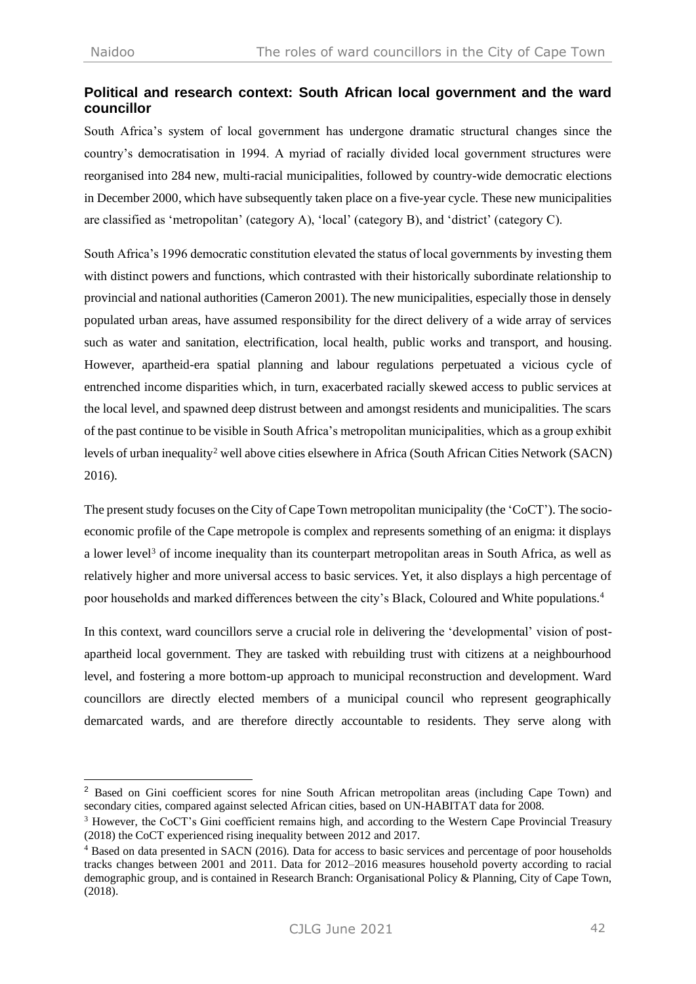# **Political and research context: South African local government and the ward councillor**

South Africa's system of local government has undergone dramatic structural changes since the country's democratisation in 1994. A myriad of racially divided local government structures were reorganised into 284 new, multi-racial municipalities, followed by country-wide democratic elections in December 2000, which have subsequently taken place on a five-year cycle. These new municipalities are classified as 'metropolitan' (category A), 'local' (category B), and 'district' (category C).

South Africa's 1996 democratic constitution elevated the status of local governments by investing them with distinct powers and functions, which contrasted with their historically subordinate relationship to provincial and national authorities (Cameron 2001). The new municipalities, especially those in densely populated urban areas, have assumed responsibility for the direct delivery of a wide array of services such as water and sanitation, electrification, local health, public works and transport, and housing. However, apartheid-era spatial planning and labour regulations perpetuated a vicious cycle of entrenched income disparities which, in turn, exacerbated racially skewed access to public services at the local level, and spawned deep distrust between and amongst residents and municipalities. The scars of the past continue to be visible in South Africa's metropolitan municipalities, which as a group exhibit levels of urban inequality<sup>2</sup> well above cities elsewhere in Africa (South African Cities Network (SACN) 2016).

The present study focuses on the City of Cape Town metropolitan municipality (the 'CoCT'). The socioeconomic profile of the Cape metropole is complex and represents something of an enigma: it displays a lower level<sup>3</sup> of income inequality than its counterpart metropolitan areas in South Africa, as well as relatively higher and more universal access to basic services. Yet, it also displays a high percentage of poor households and marked differences between the city's Black, Coloured and White populations.<sup>4</sup>

In this context, ward councillors serve a crucial role in delivering the 'developmental' vision of postapartheid local government. They are tasked with rebuilding trust with citizens at a neighbourhood level, and fostering a more bottom-up approach to municipal reconstruction and development. Ward councillors are directly elected members of a municipal council who represent geographically demarcated wards, and are therefore directly accountable to residents. They serve along with

<sup>2</sup> Based on Gini coefficient scores for nine South African metropolitan areas (including Cape Town) and secondary cities, compared against selected African cities, based on UN-HABITAT data for 2008.

<sup>&</sup>lt;sup>3</sup> However, the CoCT's Gini coefficient remains high, and according to the Western Cape Provincial Treasury (2018) the CoCT experienced rising inequality between 2012 and 2017.

<sup>4</sup> Based on data presented in SACN (2016). Data for access to basic services and percentage of poor households tracks changes between 2001 and 2011. Data for 2012–2016 measures household poverty according to racial demographic group, and is contained in Research Branch: Organisational Policy & Planning, City of Cape Town, (2018).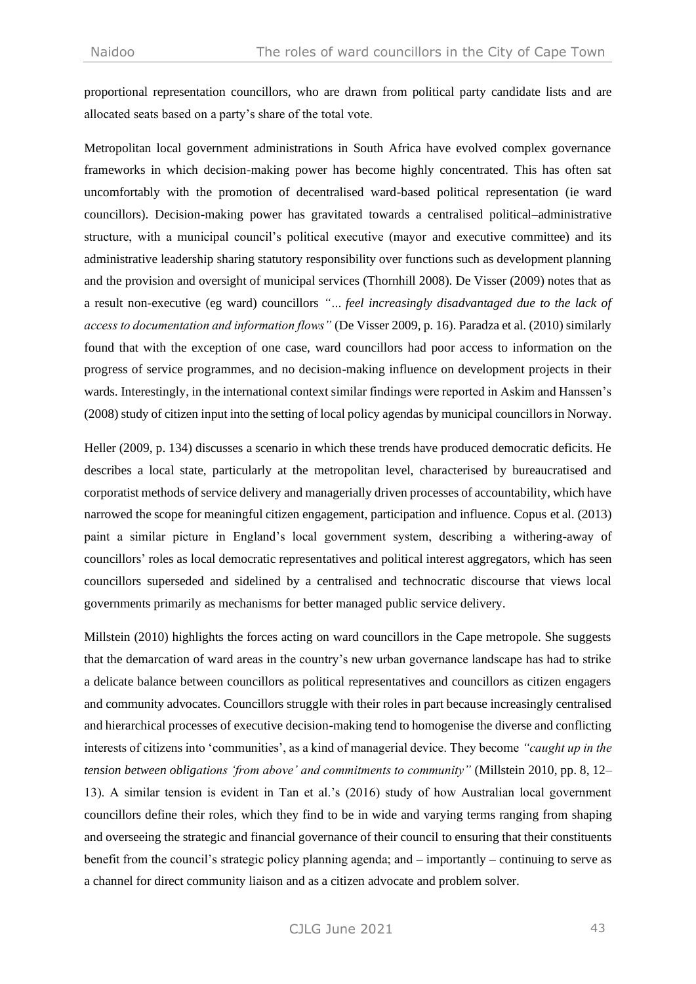proportional representation councillors, who are drawn from political party candidate lists and are allocated seats based on a party's share of the total vote.

Metropolitan local government administrations in South Africa have evolved complex governance frameworks in which decision-making power has become highly concentrated. This has often sat uncomfortably with the promotion of decentralised ward-based political representation (ie ward councillors). Decision-making power has gravitated towards a centralised political–administrative structure, with a municipal council's political executive (mayor and executive committee) and its administrative leadership sharing statutory responsibility over functions such as development planning and the provision and oversight of municipal services (Thornhill 2008). De Visser (2009) notes that as a result non-executive (eg ward) councillors *"… feel increasingly disadvantaged due to the lack of access to documentation and information flows"* (De Visser 2009, p. 16). Paradza et al. (2010) similarly found that with the exception of one case, ward councillors had poor access to information on the progress of service programmes, and no decision-making influence on development projects in their wards. Interestingly, in the international context similar findings were reported in Askim and Hanssen's (2008) study of citizen input into the setting of local policy agendas by municipal councillors in Norway.

Heller (2009, p. 134) discusses a scenario in which these trends have produced democratic deficits. He describes a local state, particularly at the metropolitan level, characterised by bureaucratised and corporatist methods of service delivery and managerially driven processes of accountability, which have narrowed the scope for meaningful citizen engagement, participation and influence. Copus et al. (2013) paint a similar picture in England's local government system, describing a withering-away of councillors' roles as local democratic representatives and political interest aggregators, which has seen councillors superseded and sidelined by a centralised and technocratic discourse that views local governments primarily as mechanisms for better managed public service delivery.

Millstein (2010) highlights the forces acting on ward councillors in the Cape metropole. She suggests that the demarcation of ward areas in the country's new urban governance landscape has had to strike a delicate balance between councillors as political representatives and councillors as citizen engagers and community advocates. Councillors struggle with their roles in part because increasingly centralised and hierarchical processes of executive decision-making tend to homogenise the diverse and conflicting interests of citizens into 'communities', as a kind of managerial device. They become *"caught up in the tension between obligations 'from above' and commitments to community"* (Millstein 2010, pp. 8, 12– 13). A similar tension is evident in Tan et al.'s (2016) study of how Australian local government councillors define their roles, which they find to be in wide and varying terms ranging from shaping and overseeing the strategic and financial governance of their council to ensuring that their constituents benefit from the council's strategic policy planning agenda; and – importantly – continuing to serve as a channel for direct community liaison and as a citizen advocate and problem solver.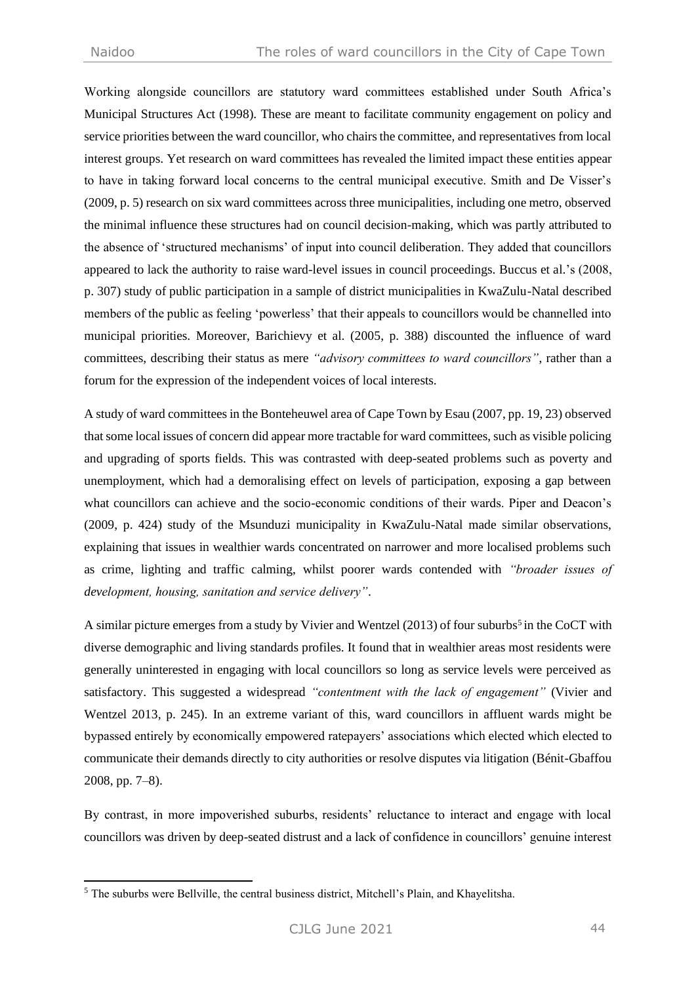Working alongside councillors are statutory ward committees established under South Africa's Municipal Structures Act (1998). These are meant to facilitate community engagement on policy and service priorities between the ward councillor, who chairs the committee, and representatives from local interest groups. Yet research on ward committees has revealed the limited impact these entities appear to have in taking forward local concerns to the central municipal executive. Smith and De Visser's (2009, p. 5) research on six ward committees across three municipalities, including one metro, observed the minimal influence these structures had on council decision-making, which was partly attributed to the absence of 'structured mechanisms' of input into council deliberation. They added that councillors appeared to lack the authority to raise ward-level issues in council proceedings. Buccus et al.'s (2008, p. 307) study of public participation in a sample of district municipalities in KwaZulu-Natal described members of the public as feeling 'powerless' that their appeals to councillors would be channelled into municipal priorities. Moreover, Barichievy et al. (2005, p. 388) discounted the influence of ward committees, describing their status as mere *"advisory committees to ward councillors"*, rather than a forum for the expression of the independent voices of local interests.

A study of ward committees in the Bonteheuwel area of Cape Town by Esau (2007, pp. 19, 23) observed that some local issues of concern did appear more tractable for ward committees, such as visible policing and upgrading of sports fields. This was contrasted with deep-seated problems such as poverty and unemployment, which had a demoralising effect on levels of participation, exposing a gap between what councillors can achieve and the socio-economic conditions of their wards. Piper and Deacon's (2009, p. 424) study of the Msunduzi municipality in KwaZulu-Natal made similar observations, explaining that issues in wealthier wards concentrated on narrower and more localised problems such as crime, lighting and traffic calming, whilst poorer wards contended with *"broader issues of development, housing, sanitation and service delivery"*.

A similar picture emerges from a study by Vivier and Wentzel (2013) of four suburbs<sup>5</sup> in the CoCT with diverse demographic and living standards profiles. It found that in wealthier areas most residents were generally uninterested in engaging with local councillors so long as service levels were perceived as satisfactory. This suggested a widespread *"contentment with the lack of engagement"* (Vivier and Wentzel 2013, p. 245). In an extreme variant of this, ward councillors in affluent wards might be bypassed entirely by economically empowered ratepayers' associations which elected which elected to communicate their demands directly to city authorities or resolve disputes via litigation (Bénit-Gbaffou 2008, pp. 7–8).

By contrast, in more impoverished suburbs, residents' reluctance to interact and engage with local councillors was driven by deep-seated distrust and a lack of confidence in councillors' genuine interest

<sup>5</sup> The suburbs were Bellville, the central business district, Mitchell's Plain, and Khayelitsha.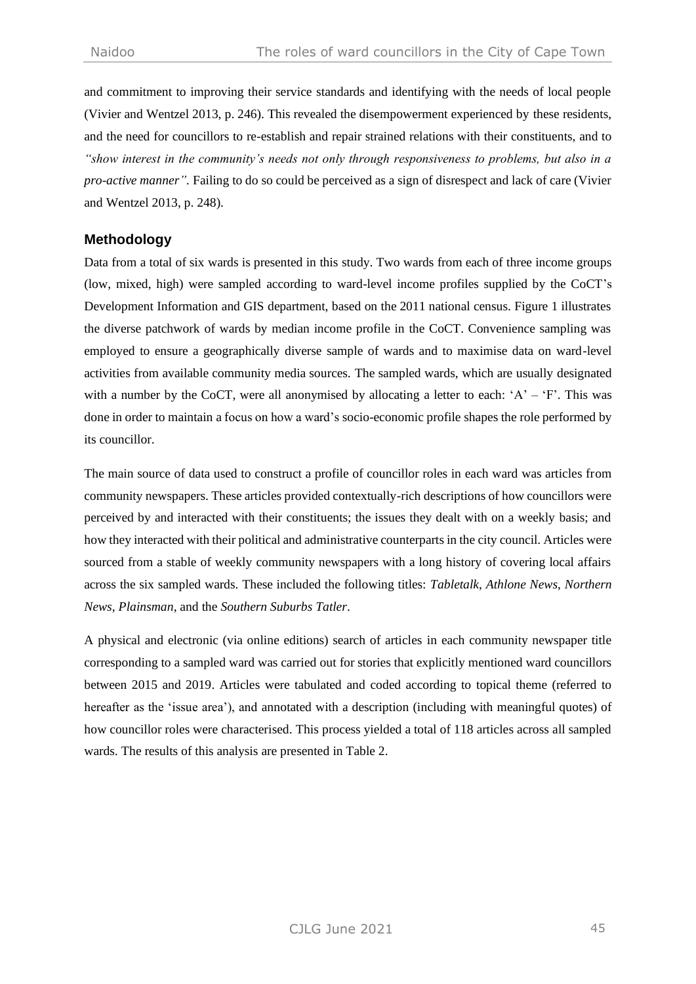and commitment to improving their service standards and identifying with the needs of local people (Vivier and Wentzel 2013, p. 246). This revealed the disempowerment experienced by these residents, and the need for councillors to re-establish and repair strained relations with their constituents, and to *"show interest in the community's needs not only through responsiveness to problems, but also in a pro-active manner".* Failing to do so could be perceived as a sign of disrespect and lack of care (Vivier and Wentzel 2013, p. 248).

## **Methodology**

Data from a total of six wards is presented in this study. Two wards from each of three income groups (low, mixed, high) were sampled according to ward-level income profiles supplied by the CoCT's Development Information and GIS department, based on the 2011 national census. Figure 1 illustrates the diverse patchwork of wards by median income profile in the CoCT. Convenience sampling was employed to ensure a geographically diverse sample of wards and to maximise data on ward-level activities from available community media sources. The sampled wards, which are usually designated with a number by the CoCT, were all anonymised by allocating a letter to each: 'A' – 'F'. This was done in order to maintain a focus on how a ward's socio-economic profile shapes the role performed by its councillor.

The main source of data used to construct a profile of councillor roles in each ward was articles from community newspapers. These articles provided contextually-rich descriptions of how councillors were perceived by and interacted with their constituents; the issues they dealt with on a weekly basis; and how they interacted with their political and administrative counterparts in the city council. Articles were sourced from a stable of weekly community newspapers with a long history of covering local affairs across the six sampled wards. These included the following titles: *Tabletalk*, *Athlone News*, *Northern News*, *Plainsman*, and the *Southern Suburbs Tatler*.

A physical and electronic (via online editions) search of articles in each community newspaper title corresponding to a sampled ward was carried out for stories that explicitly mentioned ward councillors between 2015 and 2019. Articles were tabulated and coded according to topical theme (referred to hereafter as the 'issue area'), and annotated with a description (including with meaningful quotes) of how councillor roles were characterised. This process yielded a total of 118 articles across all sampled wards. The results of this analysis are presented in Table 2.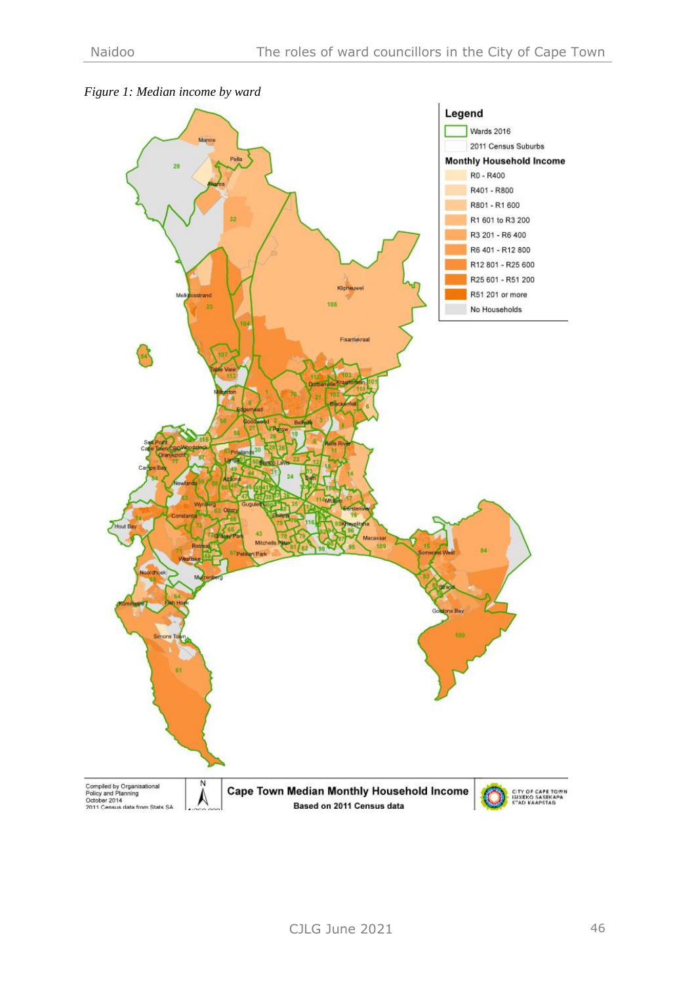

# *Figure 1: Median income by ward*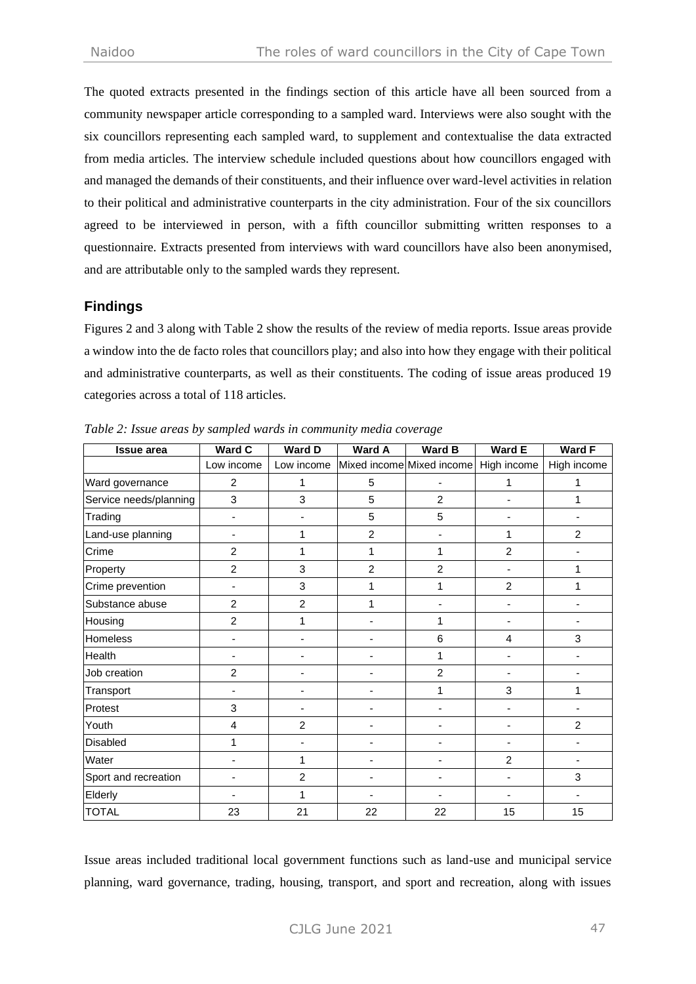The quoted extracts presented in the findings section of this article have all been sourced from a community newspaper article corresponding to a sampled ward. Interviews were also sought with the six councillors representing each sampled ward, to supplement and contextualise the data extracted from media articles. The interview schedule included questions about how councillors engaged with and managed the demands of their constituents, and their influence over ward-level activities in relation to their political and administrative counterparts in the city administration. Four of the six councillors agreed to be interviewed in person, with a fifth councillor submitting written responses to a questionnaire. Extracts presented from interviews with ward councillors have also been anonymised, and are attributable only to the sampled wards they represent.

## **Findings**

Figures 2 and 3 along with Table 2 show the results of the review of media reports. Issue areas provide a window into the de facto roles that councillors play; and also into how they engage with their political and administrative counterparts, as well as their constituents. The coding of issue areas produced 19 categories across a total of 118 articles.

| <b>Issue area</b>      | <b>Ward C</b>  | <b>Ward D</b>            | Ward A                                           | <b>Ward B</b>            | Ward E                   | Ward F         |
|------------------------|----------------|--------------------------|--------------------------------------------------|--------------------------|--------------------------|----------------|
|                        | Low income     |                          | Low income Mixed income Mixed income High income |                          |                          | High income    |
| Ward governance        | $\overline{2}$ | 1                        | 5                                                | ٠                        | 1                        | 1              |
| Service needs/planning | 3              | 3                        | 5                                                | 2                        |                          | 1              |
| Trading                |                |                          | 5                                                | 5                        |                          |                |
| Land-use planning      | ٠              | 1                        | $\overline{2}$                                   | $\overline{\phantom{m}}$ | 1                        | $\overline{2}$ |
| Crime                  | $\overline{2}$ | 1                        | 1                                                | 1                        | $\overline{2}$           |                |
| Property               | $\overline{2}$ | 3                        | $\overline{2}$                                   | $\overline{2}$           |                          | 1              |
| Crime prevention       |                | 3                        | 1                                                | 1                        | $\overline{2}$           | 1              |
| Substance abuse        | $\overline{2}$ | $\overline{2}$           | 1                                                |                          |                          |                |
| Housing                | $\overline{2}$ | 1                        |                                                  | 1                        | $\overline{\phantom{a}}$ | -              |
| Homeless               |                |                          |                                                  | 6                        | 4                        | 3              |
| Health                 |                |                          |                                                  | 1                        |                          |                |
| Job creation           | $\overline{2}$ | $\overline{\phantom{0}}$ |                                                  | $\overline{2}$           | ٠                        |                |
| Transport              |                |                          |                                                  | 1                        | 3                        | 1              |
| Protest                | 3              | $\overline{\phantom{a}}$ | ٠                                                | ٠                        | ٠                        |                |
| Youth                  | 4              | $\overline{2}$           | ÷                                                |                          |                          | $\overline{2}$ |
| <b>Disabled</b>        | 1              |                          |                                                  |                          |                          |                |
| Water                  | L,             | 1                        |                                                  | ÷                        | $\overline{2}$           |                |
| Sport and recreation   |                | $\overline{2}$           |                                                  |                          |                          | 3              |
| Elderly                |                | 1                        |                                                  |                          |                          |                |
| <b>TOTAL</b>           | 23             | 21                       | 22                                               | 22                       | 15                       | 15             |

*Table 2: Issue areas by sampled wards in community media coverage*

Issue areas included traditional local government functions such as land-use and municipal service planning, ward governance, trading, housing, transport, and sport and recreation, along with issues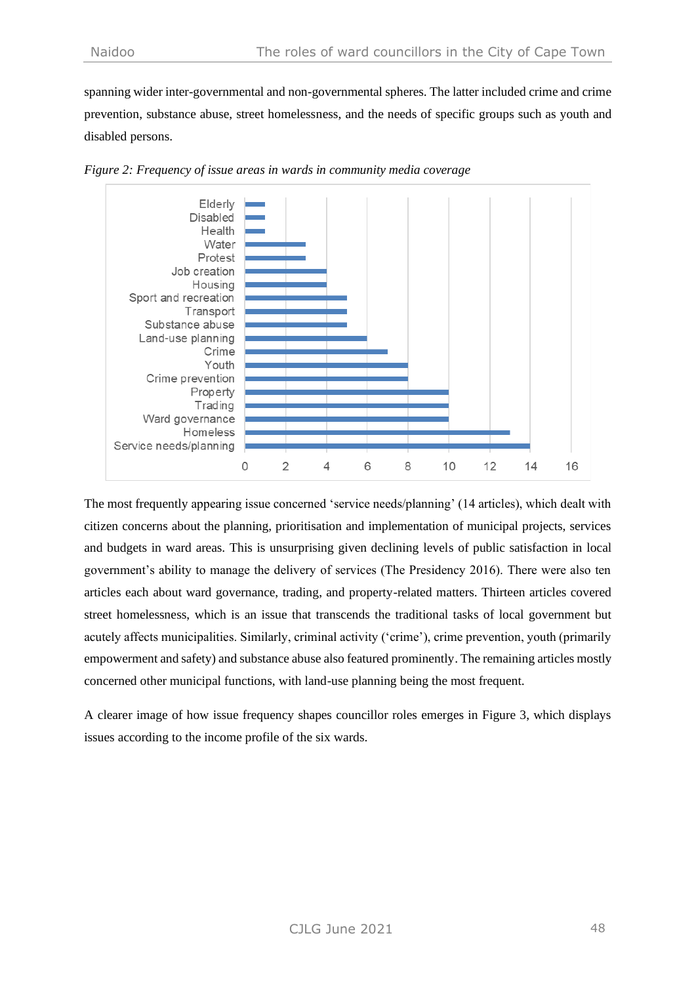spanning wider inter-governmental and non-governmental spheres. The latter included crime and crime prevention, substance abuse, street homelessness, and the needs of specific groups such as youth and disabled persons.



*Figure 2: Frequency of issue areas in wards in community media coverage*

The most frequently appearing issue concerned 'service needs/planning' (14 articles), which dealt with citizen concerns about the planning, prioritisation and implementation of municipal projects, services and budgets in ward areas. This is unsurprising given declining levels of public satisfaction in local government's ability to manage the delivery of services (The Presidency 2016). There were also ten articles each about ward governance, trading, and property-related matters. Thirteen articles covered street homelessness, which is an issue that transcends the traditional tasks of local government but acutely affects municipalities. Similarly, criminal activity ('crime'), crime prevention, youth (primarily empowerment and safety) and substance abuse also featured prominently. The remaining articles mostly concerned other municipal functions, with land-use planning being the most frequent.

A clearer image of how issue frequency shapes councillor roles emerges in Figure 3, which displays issues according to the income profile of the six wards.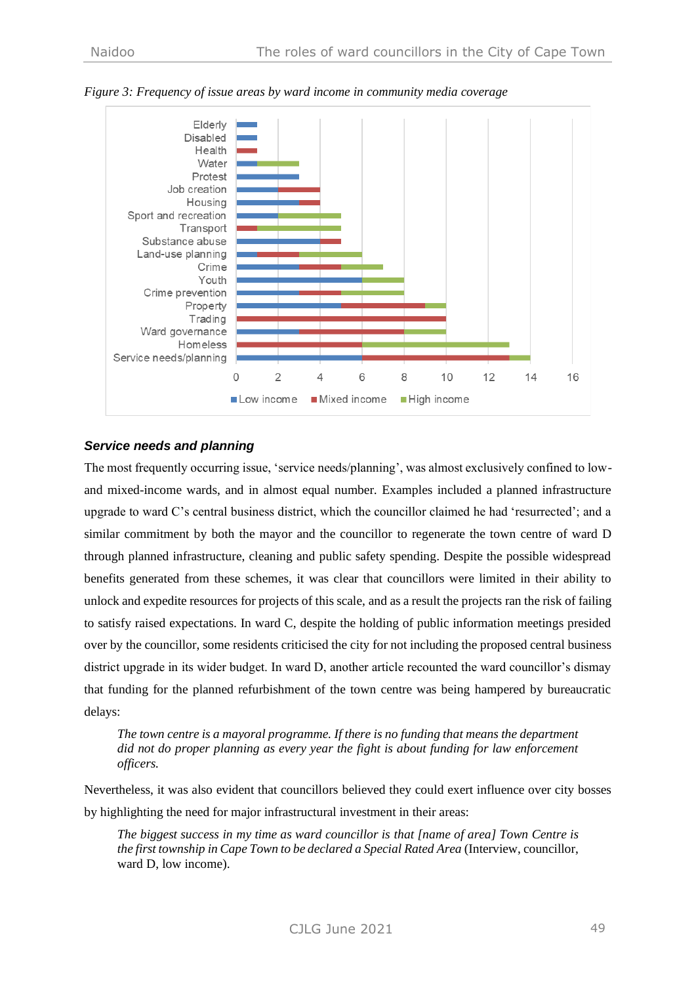

*Figure 3: Frequency of issue areas by ward income in community media coverage*

## *Service needs and planning*

The most frequently occurring issue, 'service needs/planning', was almost exclusively confined to lowand mixed-income wards, and in almost equal number. Examples included a planned infrastructure upgrade to ward C's central business district, which the councillor claimed he had 'resurrected'; and a similar commitment by both the mayor and the councillor to regenerate the town centre of ward D through planned infrastructure, cleaning and public safety spending. Despite the possible widespread benefits generated from these schemes, it was clear that councillors were limited in their ability to unlock and expedite resources for projects of this scale, and as a result the projects ran the risk of failing to satisfy raised expectations. In ward C, despite the holding of public information meetings presided over by the councillor, some residents criticised the city for not including the proposed central business district upgrade in its wider budget. In ward D, another article recounted the ward councillor's dismay that funding for the planned refurbishment of the town centre was being hampered by bureaucratic delays:

*The town centre is a mayoral programme. If there is no funding that means the department did not do proper planning as every year the fight is about funding for law enforcement officers.*

Nevertheless, it was also evident that councillors believed they could exert influence over city bosses by highlighting the need for major infrastructural investment in their areas:

*The biggest success in my time as ward councillor is that [name of area] Town Centre is the first township in Cape Town to be declared a Special Rated Area (Interview, councillor,* ward D, low income).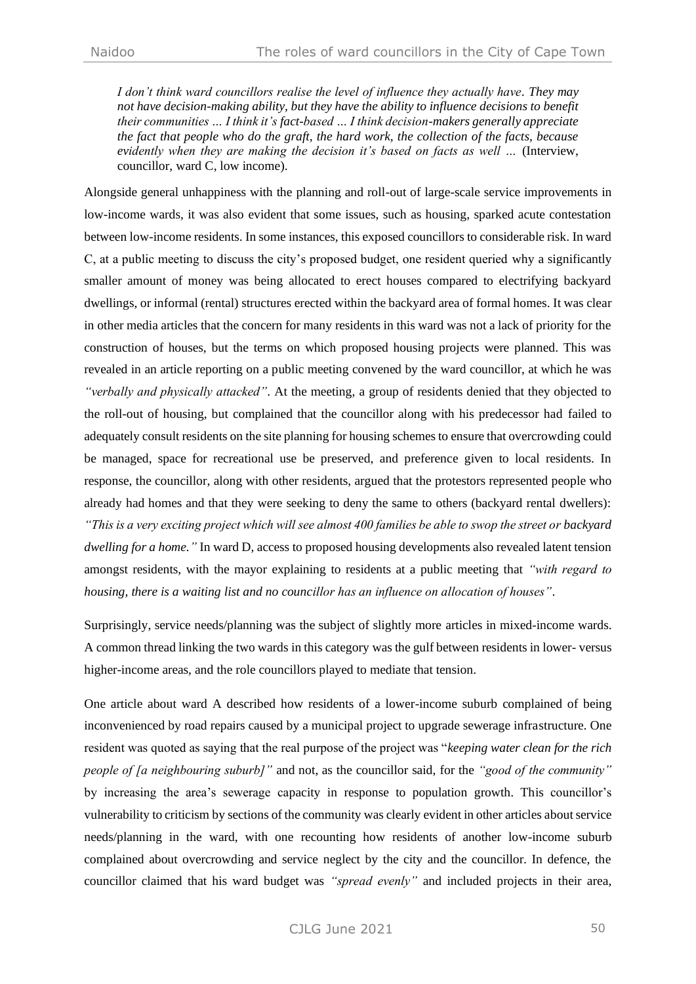*I don't think ward councillors realise the level of influence they actually have. They may not have decision-making ability, but they have the ability to influence decisions to benefit their communities … I think it's fact-based … I think decision-makers generally appreciate the fact that people who do the graft, the hard work, the collection of the facts, because evidently when they are making the decision it's based on facts as well …* (Interview, councillor, ward C, low income).

Alongside general unhappiness with the planning and roll-out of large-scale service improvements in low-income wards, it was also evident that some issues, such as housing, sparked acute contestation between low-income residents. In some instances, this exposed councillors to considerable risk. In ward C, at a public meeting to discuss the city's proposed budget, one resident queried why a significantly smaller amount of money was being allocated to erect houses compared to electrifying backyard dwellings, or informal (rental) structures erected within the backyard area of formal homes. It was clear in other media articles that the concern for many residents in this ward was not a lack of priority for the construction of houses, but the terms on which proposed housing projects were planned. This was revealed in an article reporting on a public meeting convened by the ward councillor, at which he was *"verbally and physically attacked"*. At the meeting, a group of residents denied that they objected to the roll-out of housing, but complained that the councillor along with his predecessor had failed to adequately consult residents on the site planning for housing schemes to ensure that overcrowding could be managed, space for recreational use be preserved, and preference given to local residents. In response, the councillor, along with other residents, argued that the protestors represented people who already had homes and that they were seeking to deny the same to others (backyard rental dwellers): *"This is a very exciting project which will see almost 400 families be able to swop the street or backyard dwelling for a home."* In ward D, access to proposed housing developments also revealed latent tension amongst residents, with the mayor explaining to residents at a public meeting that *"with regard to housing, there is a waiting list and no councillor has an influence on allocation of houses"*.

Surprisingly, service needs/planning was the subject of slightly more articles in mixed-income wards. A common thread linking the two wards in this category was the gulf between residents in lower- versus higher-income areas, and the role councillors played to mediate that tension.

One article about ward A described how residents of a lower-income suburb complained of being inconvenienced by road repairs caused by a municipal project to upgrade sewerage infrastructure. One resident was quoted as saying that the real purpose of the project was "*keeping water clean for the rich people of [a neighbouring suburb]"* and not, as the councillor said, for the *"good of the community"* by increasing the area's sewerage capacity in response to population growth. This councillor's vulnerability to criticism by sections of the community was clearly evident in other articles about service needs/planning in the ward, with one recounting how residents of another low-income suburb complained about overcrowding and service neglect by the city and the councillor. In defence, the councillor claimed that his ward budget was *"spread evenly"* and included projects in their area,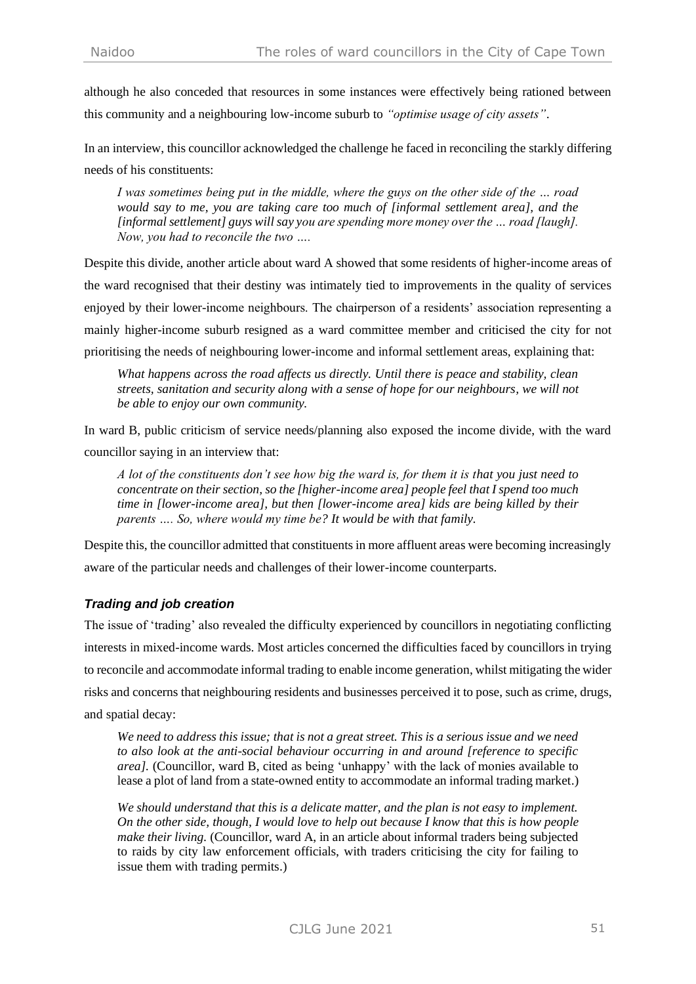although he also conceded that resources in some instances were effectively being rationed between this community and a neighbouring low-income suburb to *"optimise usage of city assets"*.

In an interview, this councillor acknowledged the challenge he faced in reconciling the starkly differing needs of his constituents:

*I was sometimes being put in the middle, where the guys on the other side of the … road would say to me, you are taking care too much of [informal settlement area], and the [informal settlement] guys will say you are spending more money over the … road [laugh]. Now, you had to reconcile the two ….*

Despite this divide, another article about ward A showed that some residents of higher-income areas of the ward recognised that their destiny was intimately tied to improvements in the quality of services enjoyed by their lower-income neighbours. The chairperson of a residents' association representing a mainly higher-income suburb resigned as a ward committee member and criticised the city for not prioritising the needs of neighbouring lower-income and informal settlement areas, explaining that:

*What happens across the road affects us directly. Until there is peace and stability, clean streets, sanitation and security along with a sense of hope for our neighbours, we will not be able to enjoy our own community.*

In ward B, public criticism of service needs/planning also exposed the income divide, with the ward councillor saying in an interview that:

*A lot of the constituents don't see how big the ward is, for them it is that you just need to concentrate on their section, so the [higher-income area] people feel that I spend too much time in [lower-income area], but then [lower-income area] kids are being killed by their parents …. So, where would my time be? It would be with that family.*

Despite this, the councillor admitted that constituents in more affluent areas were becoming increasingly aware of the particular needs and challenges of their lower-income counterparts.

# *Trading and job creation*

The issue of 'trading' also revealed the difficulty experienced by councillors in negotiating conflicting interests in mixed-income wards. Most articles concerned the difficulties faced by councillors in trying to reconcile and accommodate informal trading to enable income generation, whilst mitigating the wider risks and concerns that neighbouring residents and businesses perceived it to pose, such as crime, drugs, and spatial decay:

*We need to address this issue; that is not a great street. This is a serious issue and we need to also look at the anti-social behaviour occurring in and around [reference to specific area].* (Councillor, ward B, cited as being 'unhappy' with the lack of monies available to lease a plot of land from a state-owned entity to accommodate an informal trading market.)

*We should understand that this is a delicate matter, and the plan is not easy to implement. On the other side, though, I would love to help out because I know that this is how people make their living.* (Councillor, ward A, in an article about informal traders being subjected to raids by city law enforcement officials, with traders criticising the city for failing to issue them with trading permits.)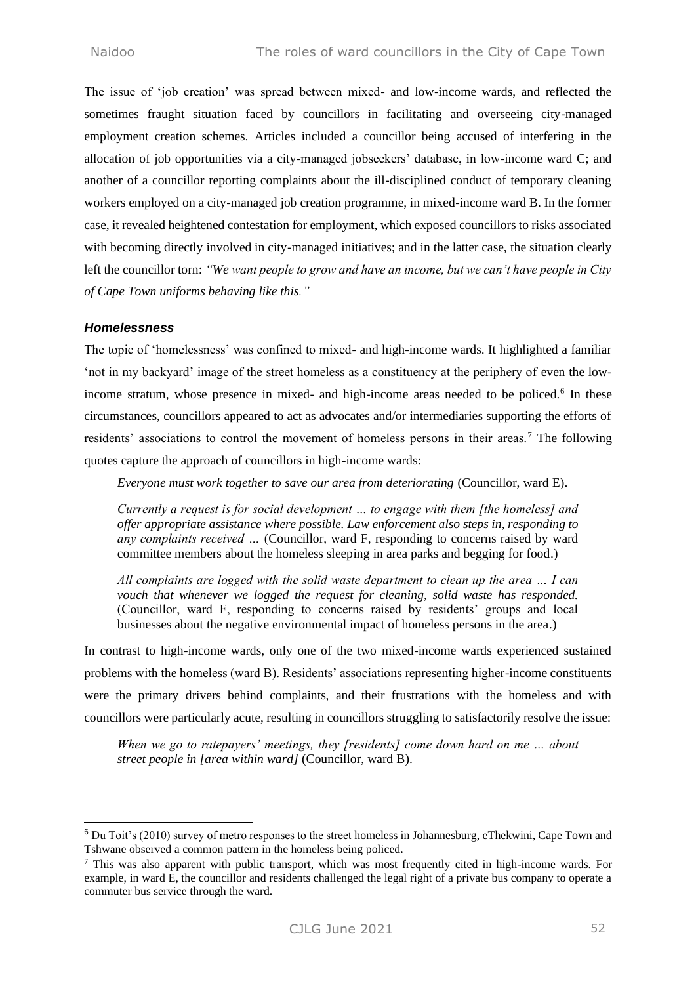The issue of 'job creation' was spread between mixed- and low-income wards, and reflected the sometimes fraught situation faced by councillors in facilitating and overseeing city-managed employment creation schemes. Articles included a councillor being accused of interfering in the allocation of job opportunities via a city-managed jobseekers' database, in low-income ward C; and another of a councillor reporting complaints about the ill-disciplined conduct of temporary cleaning workers employed on a city-managed job creation programme, in mixed-income ward B. In the former case, it revealed heightened contestation for employment, which exposed councillors to risks associated with becoming directly involved in city-managed initiatives; and in the latter case, the situation clearly left the councillor torn: *"We want people to grow and have an income, but we can't have people in City of Cape Town uniforms behaving like this."*

#### *Homelessness*

The topic of 'homelessness' was confined to mixed- and high-income wards. It highlighted a familiar 'not in my backyard' image of the street homeless as a constituency at the periphery of even the lowincome stratum, whose presence in mixed- and high-income areas needed to be policed.<sup>6</sup> In these circumstances, councillors appeared to act as advocates and/or intermediaries supporting the efforts of residents' associations to control the movement of homeless persons in their areas.<sup>7</sup> The following quotes capture the approach of councillors in high-income wards:

*Everyone must work together to save our area from deteriorating (Councillor, ward E).* 

*Currently a request is for social development … to engage with them [the homeless] and offer appropriate assistance where possible. Law enforcement also steps in, responding to any complaints received …* (Councillor, ward F, responding to concerns raised by ward committee members about the homeless sleeping in area parks and begging for food.)

*All complaints are logged with the solid waste department to clean up the area … I can vouch that whenever we logged the request for cleaning, solid waste has responded.*  (Councillor, ward F, responding to concerns raised by residents' groups and local businesses about the negative environmental impact of homeless persons in the area.)

In contrast to high-income wards, only one of the two mixed-income wards experienced sustained problems with the homeless (ward B). Residents' associations representing higher-income constituents were the primary drivers behind complaints, and their frustrations with the homeless and with councillors were particularly acute, resulting in councillors struggling to satisfactorily resolve the issue:

*When we go to ratepayers' meetings, they [residents] come down hard on me … about street people in [area within ward]* (Councillor, ward B).

<sup>6</sup> Du Toit's (2010) survey of metro responses to the street homeless in Johannesburg, eThekwini, Cape Town and Tshwane observed a common pattern in the homeless being policed.

 $\frac{7}{1}$  This was also apparent with public transport, which was most frequently cited in high-income wards. For example, in ward E, the councillor and residents challenged the legal right of a private bus company to operate a commuter bus service through the ward.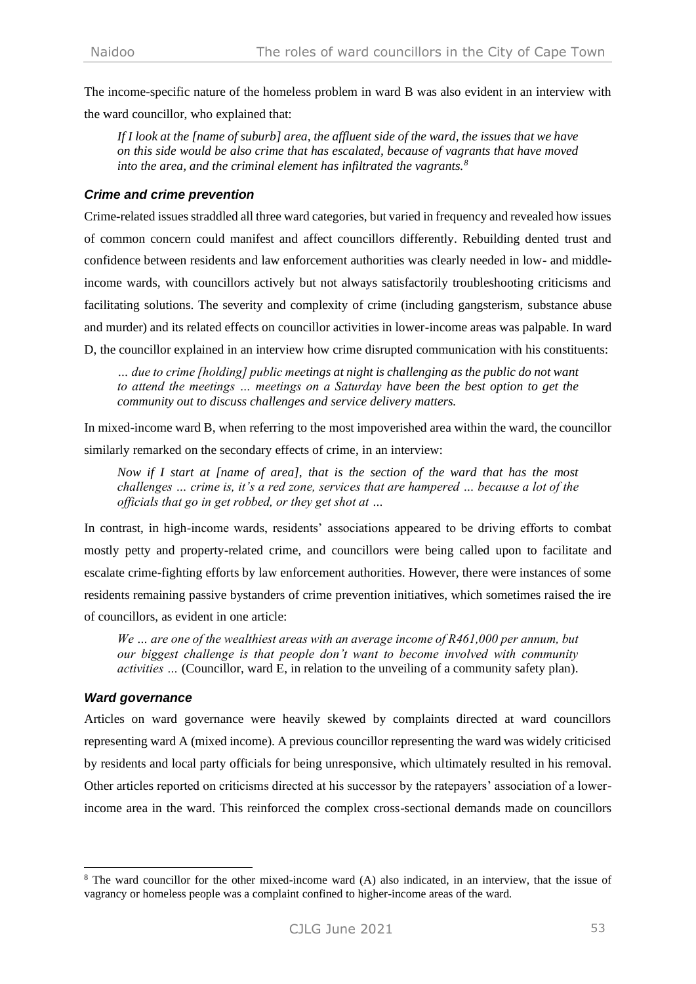The income-specific nature of the homeless problem in ward B was also evident in an interview with the ward councillor, who explained that:

*If I look at the [name of suburb] area, the affluent side of the ward, the issues that we have on this side would be also crime that has escalated, because of vagrants that have moved into the area, and the criminal element has infiltrated the vagrants.<sup>8</sup>*

#### *Crime and crime prevention*

Crime-related issues straddled all three ward categories, but varied in frequency and revealed how issues of common concern could manifest and affect councillors differently. Rebuilding dented trust and confidence between residents and law enforcement authorities was clearly needed in low- and middleincome wards, with councillors actively but not always satisfactorily troubleshooting criticisms and facilitating solutions. The severity and complexity of crime (including gangsterism, substance abuse and murder) and its related effects on councillor activities in lower-income areas was palpable. In ward D, the councillor explained in an interview how crime disrupted communication with his constituents:

*… due to crime [holding] public meetings at night is challenging as the public do not want to attend the meetings … meetings on a Saturday have been the best option to get the community out to discuss challenges and service delivery matters.*

In mixed-income ward B, when referring to the most impoverished area within the ward, the councillor similarly remarked on the secondary effects of crime, in an interview:

*Now if I start at [name of area], that is the section of the ward that has the most challenges … crime is, it's a red zone, services that are hampered … because a lot of the officials that go in get robbed, or they get shot at …*

In contrast, in high-income wards, residents' associations appeared to be driving efforts to combat mostly petty and property-related crime, and councillors were being called upon to facilitate and escalate crime-fighting efforts by law enforcement authorities. However, there were instances of some residents remaining passive bystanders of crime prevention initiatives, which sometimes raised the ire of councillors, as evident in one article:

*We … are one of the wealthiest areas with an average income of R461,000 per annum, but our biggest challenge is that people don't want to become involved with community activities …* (Councillor, ward E, in relation to the unveiling of a community safety plan).

## *Ward governance*

Articles on ward governance were heavily skewed by complaints directed at ward councillors representing ward A (mixed income). A previous councillor representing the ward was widely criticised by residents and local party officials for being unresponsive, which ultimately resulted in his removal. Other articles reported on criticisms directed at his successor by the ratepayers' association of a lowerincome area in the ward. This reinforced the complex cross-sectional demands made on councillors

<sup>&</sup>lt;sup>8</sup> The ward councillor for the other mixed-income ward (A) also indicated, in an interview, that the issue of vagrancy or homeless people was a complaint confined to higher-income areas of the ward.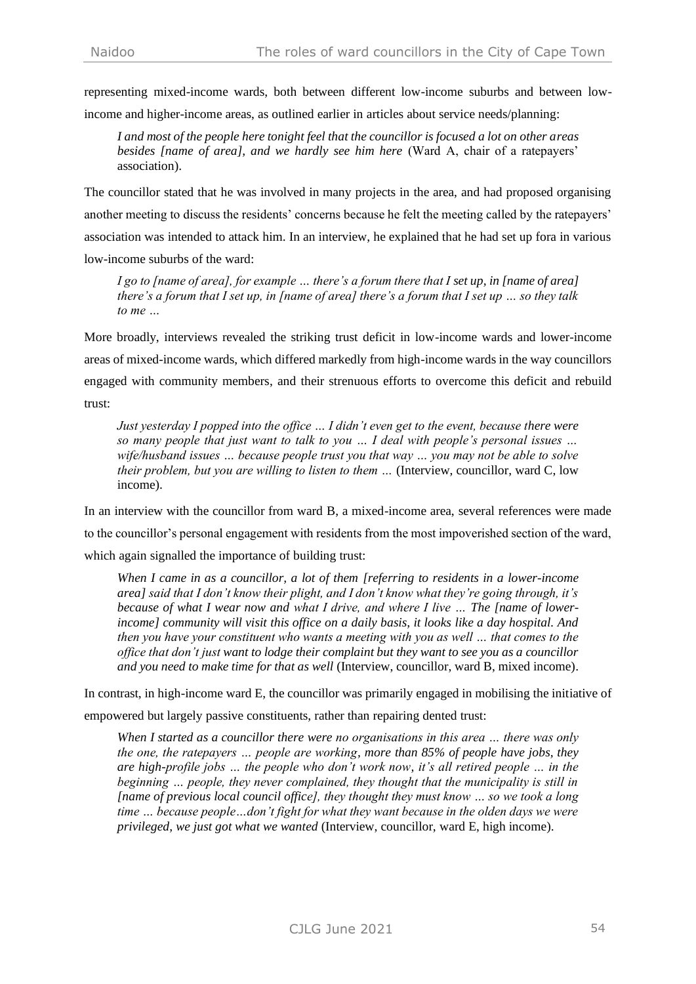representing mixed-income wards, both between different low-income suburbs and between lowincome and higher-income areas, as outlined earlier in articles about service needs/planning:

*I and most of the people here tonight feel that the councillor is focused a lot on other areas besides [name of area], and we hardly see him here* (Ward A, chair of a ratepayers' association).

The councillor stated that he was involved in many projects in the area, and had proposed organising another meeting to discuss the residents' concerns because he felt the meeting called by the ratepayers' association was intended to attack him. In an interview, he explained that he had set up fora in various low-income suburbs of the ward:

*I go to [name of area], for example … there's a forum there that I set up, in [name of area] there's a forum that I set up, in [name of area] there's a forum that I set up … so they talk to me …*

More broadly, interviews revealed the striking trust deficit in low-income wards and lower-income areas of mixed-income wards, which differed markedly from high-income wards in the way councillors engaged with community members, and their strenuous efforts to overcome this deficit and rebuild trust:

*Just yesterday I popped into the office … I didn't even get to the event, because there were so many people that just want to talk to you … I deal with people's personal issues … wife/husband issues … because people trust you that way … you may not be able to solve their problem, but you are willing to listen to them ...* (Interview, councillor, ward C, low income).

In an interview with the councillor from ward B, a mixed-income area, several references were made to the councillor's personal engagement with residents from the most impoverished section of the ward, which again signalled the importance of building trust:

*When I came in as a councillor, a lot of them [referring to residents in a lower-income area] said that I don't know their plight, and I don't know what they're going through, it's because of what I wear now and what I drive, and where I live … The [name of lowerincome] community will visit this office on a daily basis, it looks like a day hospital. And then you have your constituent who wants a meeting with you as well … that comes to the office that don't just want to lodge their complaint but they want to see you as a councillor and you need to make time for that as well* (Interview, councillor, ward B, mixed income).

In contrast, in high-income ward E, the councillor was primarily engaged in mobilising the initiative of empowered but largely passive constituents, rather than repairing dented trust:

*When I started as a councillor there were no organisations in this area … there was only the one, the ratepayers … people are working, more than 85% of people have jobs, they are high-profile jobs … the people who don't work now, it's all retired people … in the beginning … people, they never complained, they thought that the municipality is still in [name of previous local council office], they thought they must know … so we took a long time … because people…don't fight for what they want because in the olden days we were privileged, we just got what we wanted* (Interview, councillor, ward E, high income).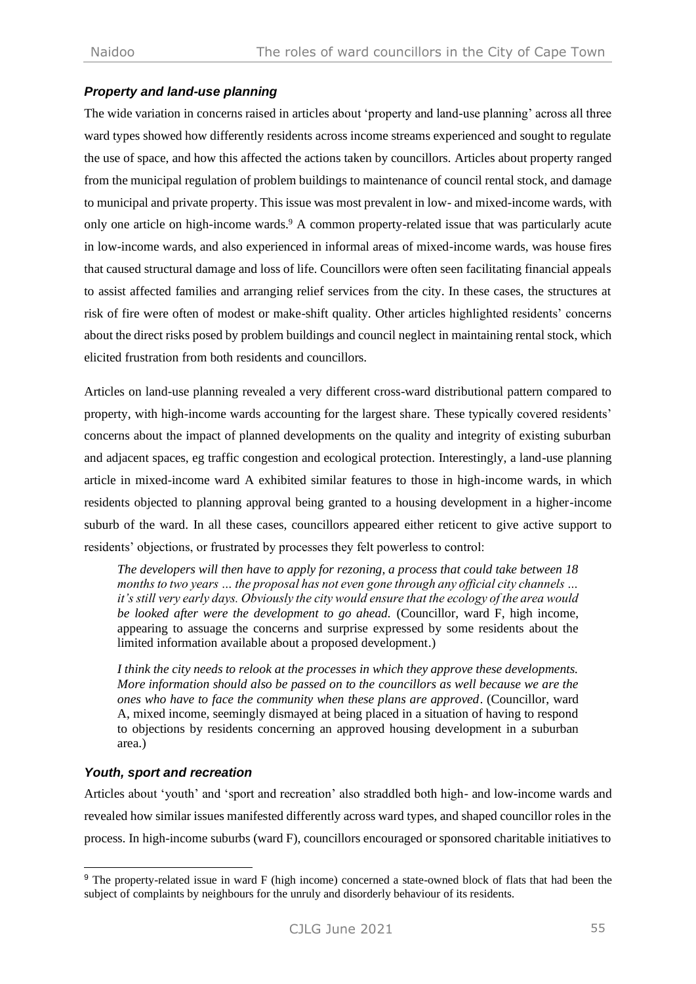## *Property and land-use planning*

The wide variation in concerns raised in articles about 'property and land-use planning' across all three ward types showed how differently residents across income streams experienced and sought to regulate the use of space, and how this affected the actions taken by councillors. Articles about property ranged from the municipal regulation of problem buildings to maintenance of council rental stock, and damage to municipal and private property. This issue was most prevalent in low- and mixed-income wards, with only one article on high-income wards.<sup>9</sup> A common property-related issue that was particularly acute in low-income wards, and also experienced in informal areas of mixed-income wards, was house fires that caused structural damage and loss of life. Councillors were often seen facilitating financial appeals to assist affected families and arranging relief services from the city. In these cases, the structures at risk of fire were often of modest or make-shift quality. Other articles highlighted residents' concerns about the direct risks posed by problem buildings and council neglect in maintaining rental stock, which elicited frustration from both residents and councillors.

Articles on land-use planning revealed a very different cross-ward distributional pattern compared to property, with high-income wards accounting for the largest share. These typically covered residents' concerns about the impact of planned developments on the quality and integrity of existing suburban and adjacent spaces, eg traffic congestion and ecological protection. Interestingly, a land-use planning article in mixed-income ward A exhibited similar features to those in high-income wards, in which residents objected to planning approval being granted to a housing development in a higher-income suburb of the ward. In all these cases, councillors appeared either reticent to give active support to residents' objections, or frustrated by processes they felt powerless to control:

*The developers will then have to apply for rezoning, a process that could take between 18 months to two years … the proposal has not even gone through any official city channels … it's still very early days. Obviously the city would ensure that the ecology of the area would be looked after were the development to go ahead.* (Councillor, ward F, high income, appearing to assuage the concerns and surprise expressed by some residents about the limited information available about a proposed development.)

*I think the city needs to relook at the processes in which they approve these developments. More information should also be passed on to the councillors as well because we are the ones who have to face the community when these plans are approved*. (Councillor, ward A, mixed income, seemingly dismayed at being placed in a situation of having to respond to objections by residents concerning an approved housing development in a suburban area.)

## *Youth, sport and recreation*

Articles about 'youth' and 'sport and recreation' also straddled both high- and low-income wards and revealed how similar issues manifested differently across ward types, and shaped councillor roles in the process. In high-income suburbs (ward F), councillors encouraged or sponsored charitable initiatives to

<sup>&</sup>lt;sup>9</sup> The property-related issue in ward F (high income) concerned a state-owned block of flats that had been the subject of complaints by neighbours for the unruly and disorderly behaviour of its residents.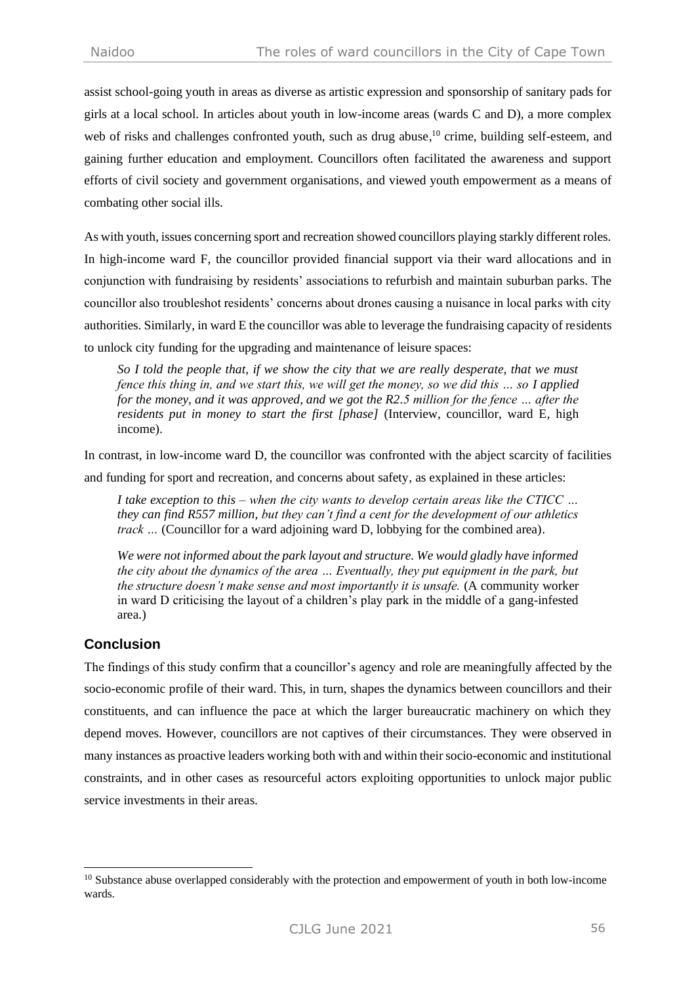assist school-going youth in areas as diverse as artistic expression and sponsorship of sanitary pads for girls at a local school. In articles about youth in low-income areas (wards C and D), a more complex web of risks and challenges confronted youth, such as drug abuse,<sup>10</sup> crime, building self-esteem, and gaining further education and employment. Councillors often facilitated the awareness and support efforts of civil society and government organisations, and viewed youth empowerment as a means of combating other social ills.

As with youth, issues concerning sport and recreation showed councillors playing starkly different roles. In high-income ward F, the councillor provided financial support via their ward allocations and in conjunction with fundraising by residents' associations to refurbish and maintain suburban parks. The councillor also troubleshot residents' concerns about drones causing a nuisance in local parks with city authorities. Similarly, in ward E the councillor was able to leverage the fundraising capacity of residents to unlock city funding for the upgrading and maintenance of leisure spaces:

*So I told the people that, if we show the city that we are really desperate, that we must fence this thing in, and we start this, we will get the money, so we did this … so I applied for the money, and it was approved, and we got the R2.5 million for the fence ... after the residents put in money to start the first [phase]* (Interview, councillor, ward E, high income).

In contrast, in low-income ward D, the councillor was confronted with the abject scarcity of facilities and funding for sport and recreation, and concerns about safety, as explained in these articles:

*I take exception to this – when the city wants to develop certain areas like the CTICC … they can find R557 million, but they can't find a cent for the development of our athletics track* ... (Councillor for a ward adjoining ward D, lobbying for the combined area).

*We were not informed about the park layout and structure. We would gladly have informed the city about the dynamics of the area … Eventually, they put equipment in the park, but the structure doesn't make sense and most importantly it is unsafe.* (A community worker in ward D criticising the layout of a children's play park in the middle of a gang-infested area.)

## **Conclusion**

The findings of this study confirm that a councillor's agency and role are meaningfully affected by the socio-economic profile of their ward. This, in turn, shapes the dynamics between councillors and their constituents, and can influence the pace at which the larger bureaucratic machinery on which they depend moves. However, councillors are not captives of their circumstances. They were observed in many instances as proactive leaders working both with and within their socio-economic and institutional constraints, and in other cases as resourceful actors exploiting opportunities to unlock major public service investments in their areas.

<sup>&</sup>lt;sup>10</sup> Substance abuse overlapped considerably with the protection and empowerment of youth in both low-income wards.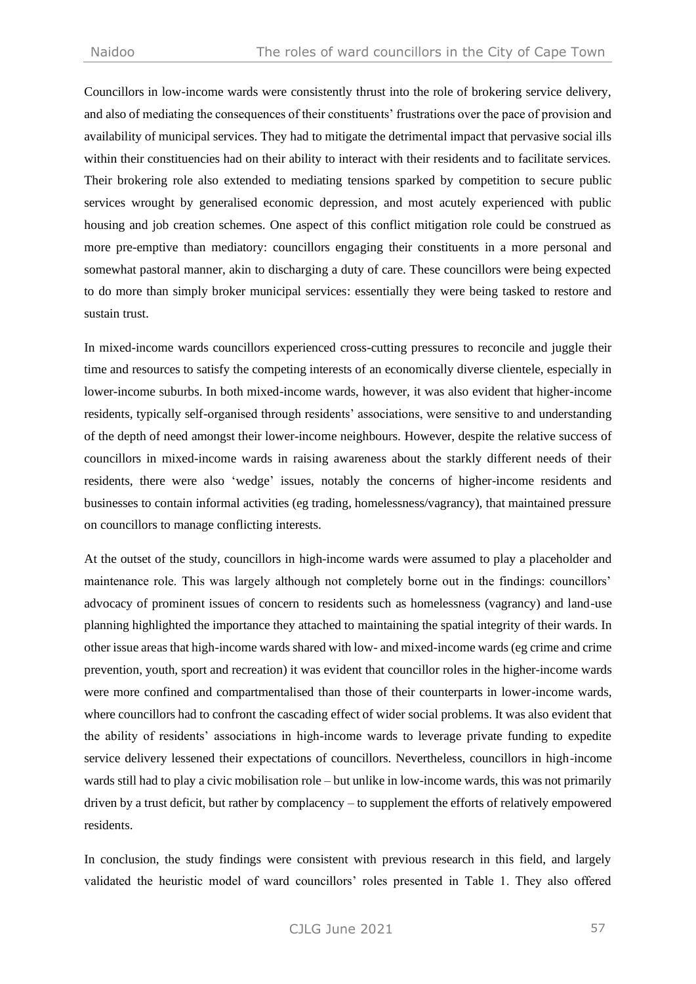Councillors in low-income wards were consistently thrust into the role of brokering service delivery, and also of mediating the consequences of their constituents' frustrations over the pace of provision and availability of municipal services. They had to mitigate the detrimental impact that pervasive social ills within their constituencies had on their ability to interact with their residents and to facilitate services. Their brokering role also extended to mediating tensions sparked by competition to secure public services wrought by generalised economic depression, and most acutely experienced with public housing and job creation schemes. One aspect of this conflict mitigation role could be construed as more pre-emptive than mediatory: councillors engaging their constituents in a more personal and somewhat pastoral manner, akin to discharging a duty of care. These councillors were being expected to do more than simply broker municipal services: essentially they were being tasked to restore and sustain trust.

In mixed-income wards councillors experienced cross-cutting pressures to reconcile and juggle their time and resources to satisfy the competing interests of an economically diverse clientele, especially in lower-income suburbs. In both mixed-income wards, however, it was also evident that higher-income residents, typically self-organised through residents' associations, were sensitive to and understanding of the depth of need amongst their lower-income neighbours. However, despite the relative success of councillors in mixed-income wards in raising awareness about the starkly different needs of their residents, there were also 'wedge' issues, notably the concerns of higher-income residents and businesses to contain informal activities (eg trading, homelessness/vagrancy), that maintained pressure on councillors to manage conflicting interests.

At the outset of the study, councillors in high-income wards were assumed to play a placeholder and maintenance role. This was largely although not completely borne out in the findings: councillors' advocacy of prominent issues of concern to residents such as homelessness (vagrancy) and land-use planning highlighted the importance they attached to maintaining the spatial integrity of their wards. In other issue areas that high-income wards shared with low- and mixed-income wards (eg crime and crime prevention, youth, sport and recreation) it was evident that councillor roles in the higher-income wards were more confined and compartmentalised than those of their counterparts in lower-income wards, where councillors had to confront the cascading effect of wider social problems. It was also evident that the ability of residents' associations in high-income wards to leverage private funding to expedite service delivery lessened their expectations of councillors. Nevertheless, councillors in high-income wards still had to play a civic mobilisation role – but unlike in low-income wards, this was not primarily driven by a trust deficit, but rather by complacency – to supplement the efforts of relatively empowered residents.

In conclusion, the study findings were consistent with previous research in this field, and largely validated the heuristic model of ward councillors' roles presented in Table 1. They also offered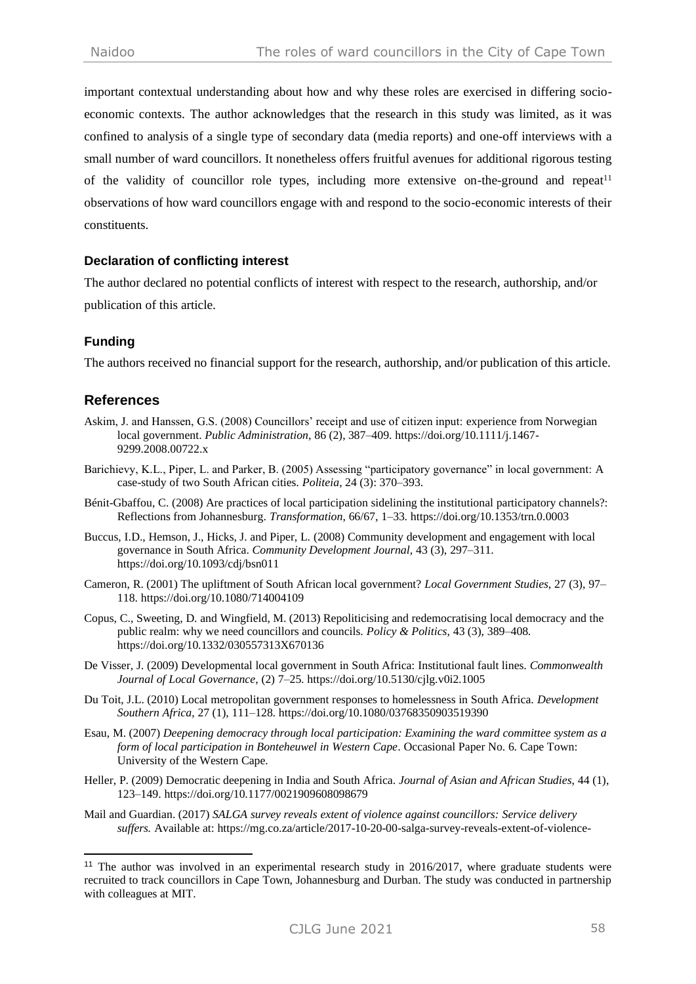important contextual understanding about how and why these roles are exercised in differing socioeconomic contexts. The author acknowledges that the research in this study was limited, as it was confined to analysis of a single type of secondary data (media reports) and one-off interviews with a small number of ward councillors. It nonetheless offers fruitful avenues for additional rigorous testing of the validity of councillor role types, including more extensive on-the-ground and repeat<sup>11</sup> observations of how ward councillors engage with and respond to the socio-economic interests of their constituents.

#### **Declaration of conflicting interest**

The author declared no potential conflicts of interest with respect to the research, authorship, and/or publication of this article.

## **Funding**

The authors received no financial support for the research, authorship, and/or publication of this article.

## **References**

- Askim, J. and Hanssen, G.S. (2008) Councillors' receipt and use of citizen input: experience from Norwegian local government. *Public Administration*, 86 (2), 387–409. https://doi.org/10.1111/j.1467- 9299.2008.00722.x
- Barichievy, K.L., Piper, L. and Parker, B. (2005) Assessing "participatory governance" in local government: A case-study of two South African cities. *Politeia*, 24 (3): 370–393.
- Bénit-Gbaffou, C. (2008) Are practices of local participation sidelining the institutional participatory channels?: Reflections from Johannesburg. *Transformation*, 66/67, 1–33. https://doi.org/10.1353/trn.0.0003
- Buccus, I.D., Hemson, J., Hicks, J. and Piper, L. (2008) Community development and engagement with local governance in South Africa. *Community Development Journal*, 43 (3), 297–311. https://doi.org/10.1093/cdj/bsn011
- Cameron, R. (2001) The upliftment of South African local government? *Local Government Studies*, 27 (3), 97– 118. https://doi.org/10.1080/714004109
- Copus, C., Sweeting, D. and Wingfield, M. (2013) Repoliticising and redemocratising local democracy and the public realm: why we need councillors and councils. *Policy & Politics*, 43 (3), 389–408. https://doi.org/10.1332/030557313X670136
- De Visser, J. (2009) Developmental local government in South Africa: Institutional fault lines. *Commonwealth Journal of Local Governance*, (2) 7–25. https://doi.org/10.5130/cjlg.v0i2.1005
- Du Toit, J.L. (2010) Local metropolitan government responses to homelessness in South Africa. *Development Southern Africa*, 27 (1), 111–128. https://doi.org/10.1080/03768350903519390
- Esau, M. (2007) *Deepening democracy through local participation: Examining the ward committee system as a form of local participation in Bonteheuwel in Western Cape. Occasional Paper No. 6. Cape Town:* University of the Western Cape.
- Heller, P. (2009) Democratic deepening in India and South Africa. *Journal of Asian and African Studies*, 44 (1), 123–149. https://doi.org/10.1177/0021909608098679
- Mail and Guardian. (2017) *SALGA survey reveals extent of violence against councillors: Service delivery suffers.* Available at: [https://mg.co.za/article/2017-10-20-00-salga-survey-reveals-extent-of-violence-](https://mg.co.za/article/2017-10-20-00-salga-survey-reveals-extent-of-violence-against-councillors-service-delivery-suffers)

<sup>&</sup>lt;sup>11</sup> The author was involved in an experimental research study in 2016/2017, where graduate students were recruited to track councillors in Cape Town, Johannesburg and Durban. The study was conducted in partnership with colleagues at MIT.